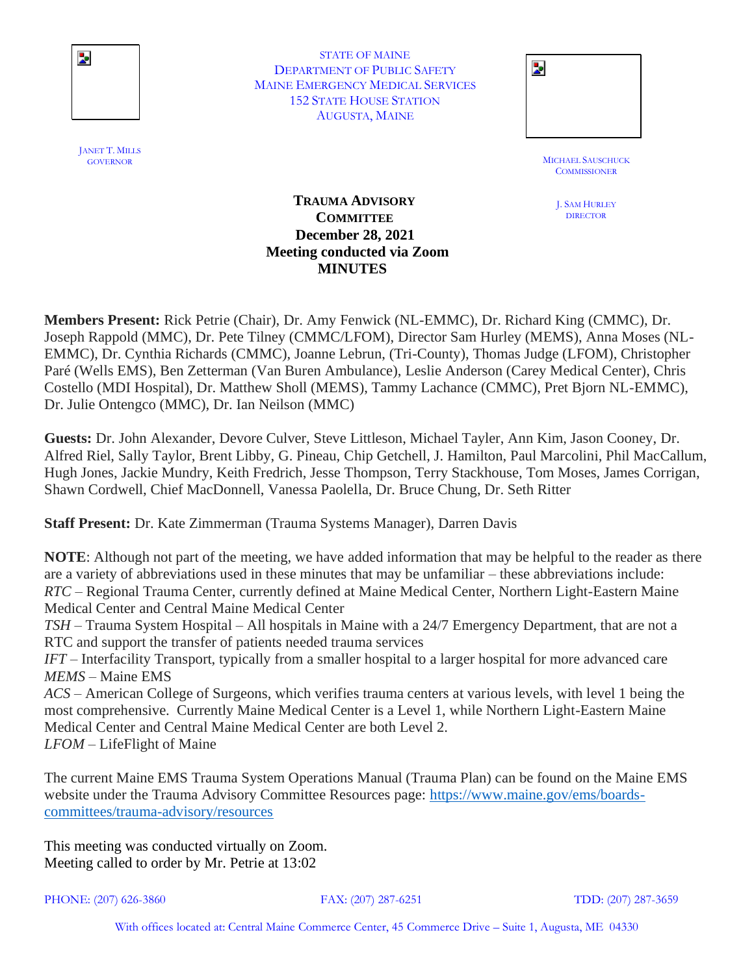

STATE OF MAINE DEPARTMENT OF PUBLIC SAFETY MAINE EMERGENCY MEDICAL SERVICES 152 STATE HOUSE STATION AUGUSTA, MAINE

| STATE OF MAINE                   |  |
|----------------------------------|--|
| TMENT OF PUBLIC SAFETY           |  |
| <b>IERGENCY MEDICAL SERVICES</b> |  |
| <b>STATE HOUSE STATION</b>       |  |
| AUGUSTA, MAINE                   |  |
|                                  |  |

GOVERNOR MICHAEL SAUSCHUCK **COMMISSIONER** 

> J. SAM HURLEY DIRECTOR

### **TRAUMA ADVISORY COMMITTEE December 28, 2021 Meeting conducted via Zoom MINUTES**

**Members Present:** Rick Petrie (Chair), Dr. Amy Fenwick (NL-EMMC), Dr. Richard King (CMMC), Dr. Joseph Rappold (MMC), Dr. Pete Tilney (CMMC/LFOM), Director Sam Hurley (MEMS), Anna Moses (NL-EMMC), Dr. Cynthia Richards (CMMC), Joanne Lebrun, (Tri-County), Thomas Judge (LFOM), Christopher Paré (Wells EMS), Ben Zetterman (Van Buren Ambulance), Leslie Anderson (Carey Medical Center), Chris Costello (MDI Hospital), Dr. Matthew Sholl (MEMS), Tammy Lachance (CMMC), Pret Bjorn NL-EMMC), Dr. Julie Ontengco (MMC), Dr. Ian Neilson (MMC)

**Guests:** Dr. John Alexander, Devore Culver, Steve Littleson, Michael Tayler, Ann Kim, Jason Cooney, Dr. Alfred Riel, Sally Taylor, Brent Libby, G. Pineau, Chip Getchell, J. Hamilton, Paul Marcolini, Phil MacCallum, Hugh Jones, Jackie Mundry, Keith Fredrich, Jesse Thompson, Terry Stackhouse, Tom Moses, James Corrigan, Shawn Cordwell, Chief MacDonnell, Vanessa Paolella, Dr. Bruce Chung, Dr. Seth Ritter

**Staff Present:** Dr. Kate Zimmerman (Trauma Systems Manager), Darren Davis

**NOTE**: Although not part of the meeting, we have added information that may be helpful to the reader as there are a variety of abbreviations used in these minutes that may be unfamiliar – these abbreviations include: *RTC* – Regional Trauma Center, currently defined at Maine Medical Center, Northern Light-Eastern Maine Medical Center and Central Maine Medical Center

*TSH* – Trauma System Hospital – All hospitals in Maine with a 24/7 Emergency Department, that are not a RTC and support the transfer of patients needed trauma services

*IFT* – Interfacility Transport, typically from a smaller hospital to a larger hospital for more advanced care *MEMS* – Maine EMS

*ACS* – American College of Surgeons, which verifies trauma centers at various levels, with level 1 being the most comprehensive. Currently Maine Medical Center is a Level 1, while Northern Light-Eastern Maine Medical Center and Central Maine Medical Center are both Level 2. *LFOM* – LifeFlight of Maine

The current Maine EMS Trauma System Operations Manual (Trauma Plan) can be found on the Maine EMS website under the Trauma Advisory Committee Resources page: [https://www.maine.gov/ems/boards](https://www.maine.gov/ems/boards-committees/trauma-advisory/resources)[committees/trauma-advisory/resources](https://www.maine.gov/ems/boards-committees/trauma-advisory/resources)

This meeting was conducted virtually on Zoom. Meeting called to order by Mr. Petrie at 13:02

PHONE: (207) 626-3860 FAX: (207) 287-6251 TDD: (207) 287-3659

JANET T. MILLS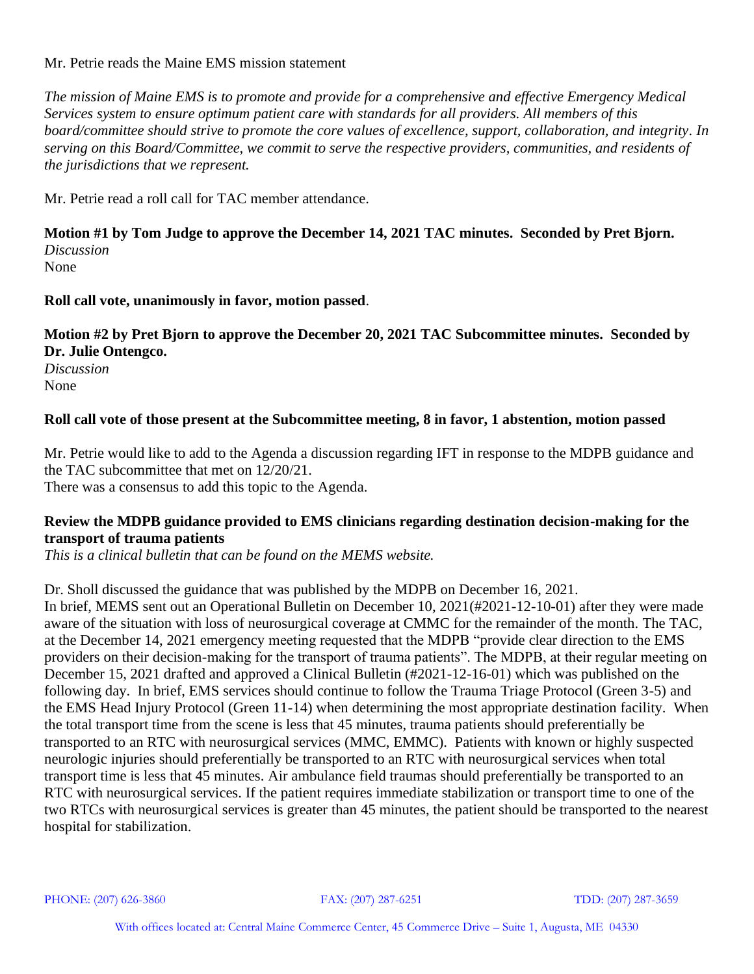Mr. Petrie reads the Maine EMS mission statement

*The mission of Maine EMS is to promote and provide for a comprehensive and effective Emergency Medical Services system to ensure optimum patient care with standards for all providers. All members of this board/committee should strive to promote the core values of excellence, support, collaboration, and integrity. In serving on this Board/Committee, we commit to serve the respective providers, communities, and residents of the jurisdictions that we represent.*

Mr. Petrie read a roll call for TAC member attendance.

**Motion #1 by Tom Judge to approve the December 14, 2021 TAC minutes. Seconded by Pret Bjorn.**  *Discussion* None

**Roll call vote, unanimously in favor, motion passed**.

# **Motion #2 by Pret Bjorn to approve the December 20, 2021 TAC Subcommittee minutes. Seconded by Dr. Julie Ontengco.**

*Discussion* None

# **Roll call vote of those present at the Subcommittee meeting, 8 in favor, 1 abstention, motion passed**

Mr. Petrie would like to add to the Agenda a discussion regarding IFT in response to the MDPB guidance and the TAC subcommittee that met on 12/20/21. There was a consensus to add this topic to the Agenda.

### **Review the MDPB guidance provided to EMS clinicians regarding destination decision-making for the transport of trauma patients**

*This is a clinical bulletin that can be found on the MEMS website.*

Dr. Sholl discussed the guidance that was published by the MDPB on December 16, 2021.

In brief, MEMS sent out an Operational Bulletin on December 10, 2021(#2021-12-10-01) after they were made aware of the situation with loss of neurosurgical coverage at CMMC for the remainder of the month. The TAC, at the December 14, 2021 emergency meeting requested that the MDPB "provide clear direction to the EMS providers on their decision-making for the transport of trauma patients". The MDPB, at their regular meeting on December 15, 2021 drafted and approved a Clinical Bulletin (#2021-12-16-01) which was published on the following day. In brief, EMS services should continue to follow the Trauma Triage Protocol (Green 3-5) and the EMS Head Injury Protocol (Green 11-14) when determining the most appropriate destination facility. When the total transport time from the scene is less that 45 minutes, trauma patients should preferentially be transported to an RTC with neurosurgical services (MMC, EMMC). Patients with known or highly suspected neurologic injuries should preferentially be transported to an RTC with neurosurgical services when total transport time is less that 45 minutes. Air ambulance field traumas should preferentially be transported to an RTC with neurosurgical services. If the patient requires immediate stabilization or transport time to one of the two RTCs with neurosurgical services is greater than 45 minutes, the patient should be transported to the nearest hospital for stabilization.

PHONE: (207) 626-3860 FAX: (207) 287-6251 TDD: (207) 287-3659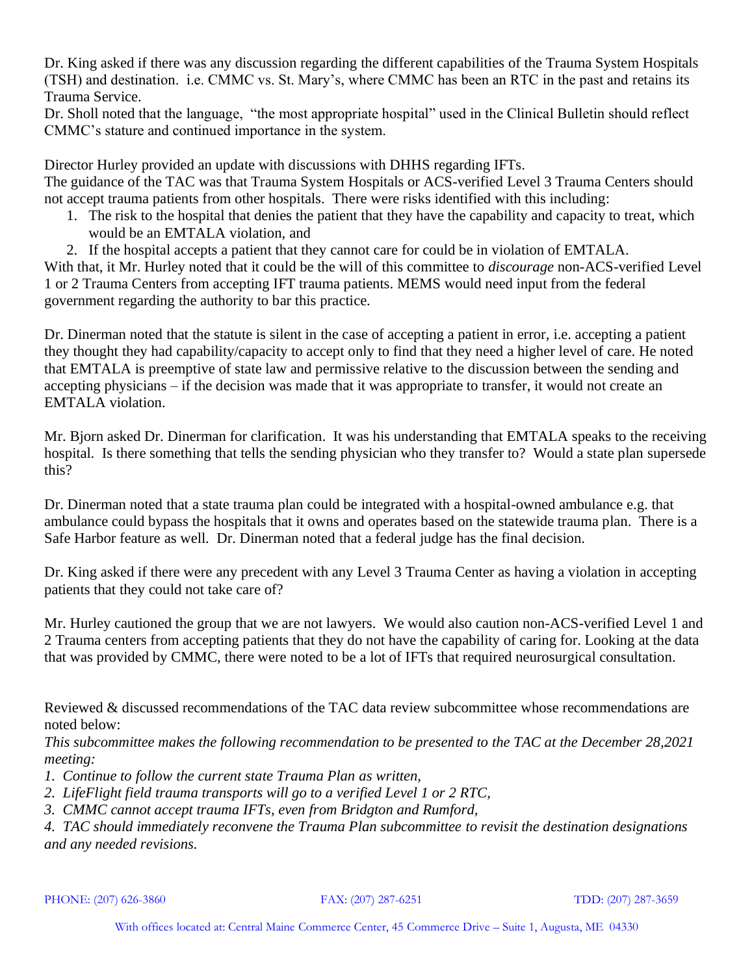Dr. King asked if there was any discussion regarding the different capabilities of the Trauma System Hospitals (TSH) and destination. i.e. CMMC vs. St. Mary's, where CMMC has been an RTC in the past and retains its Trauma Service.

Dr. Sholl noted that the language, "the most appropriate hospital" used in the Clinical Bulletin should reflect CMMC's stature and continued importance in the system.

Director Hurley provided an update with discussions with DHHS regarding IFTs. The guidance of the TAC was that Trauma System Hospitals or ACS-verified Level 3 Trauma Centers should not accept trauma patients from other hospitals. There were risks identified with this including:

- 1. The risk to the hospital that denies the patient that they have the capability and capacity to treat, which would be an EMTALA violation, and
- 2. If the hospital accepts a patient that they cannot care for could be in violation of EMTALA.

With that, it Mr. Hurley noted that it could be the will of this committee to *discourage* non-ACS-verified Level 1 or 2 Trauma Centers from accepting IFT trauma patients. MEMS would need input from the federal government regarding the authority to bar this practice.

Dr. Dinerman noted that the statute is silent in the case of accepting a patient in error, i.e. accepting a patient they thought they had capability/capacity to accept only to find that they need a higher level of care. He noted that EMTALA is preemptive of state law and permissive relative to the discussion between the sending and accepting physicians – if the decision was made that it was appropriate to transfer, it would not create an EMTALA violation.

Mr. Bjorn asked Dr. Dinerman for clarification. It was his understanding that EMTALA speaks to the receiving hospital. Is there something that tells the sending physician who they transfer to? Would a state plan supersede this?

Dr. Dinerman noted that a state trauma plan could be integrated with a hospital-owned ambulance e.g. that ambulance could bypass the hospitals that it owns and operates based on the statewide trauma plan. There is a Safe Harbor feature as well. Dr. Dinerman noted that a federal judge has the final decision.

Dr. King asked if there were any precedent with any Level 3 Trauma Center as having a violation in accepting patients that they could not take care of?

Mr. Hurley cautioned the group that we are not lawyers. We would also caution non-ACS-verified Level 1 and 2 Trauma centers from accepting patients that they do not have the capability of caring for. Looking at the data that was provided by CMMC, there were noted to be a lot of IFTs that required neurosurgical consultation.

Reviewed & discussed recommendations of the TAC data review subcommittee whose recommendations are noted below:

*This subcommittee makes the following recommendation to be presented to the TAC at the December 28,2021 meeting:*

- *1. Continue to follow the current state Trauma Plan as written,*
- *2. LifeFlight field trauma transports will go to a verified Level 1 or 2 RTC,*
- *3. CMMC cannot accept trauma IFTs, even from Bridgton and Rumford,*

*4. TAC should immediately reconvene the Trauma Plan subcommittee to revisit the destination designations and any needed revisions.*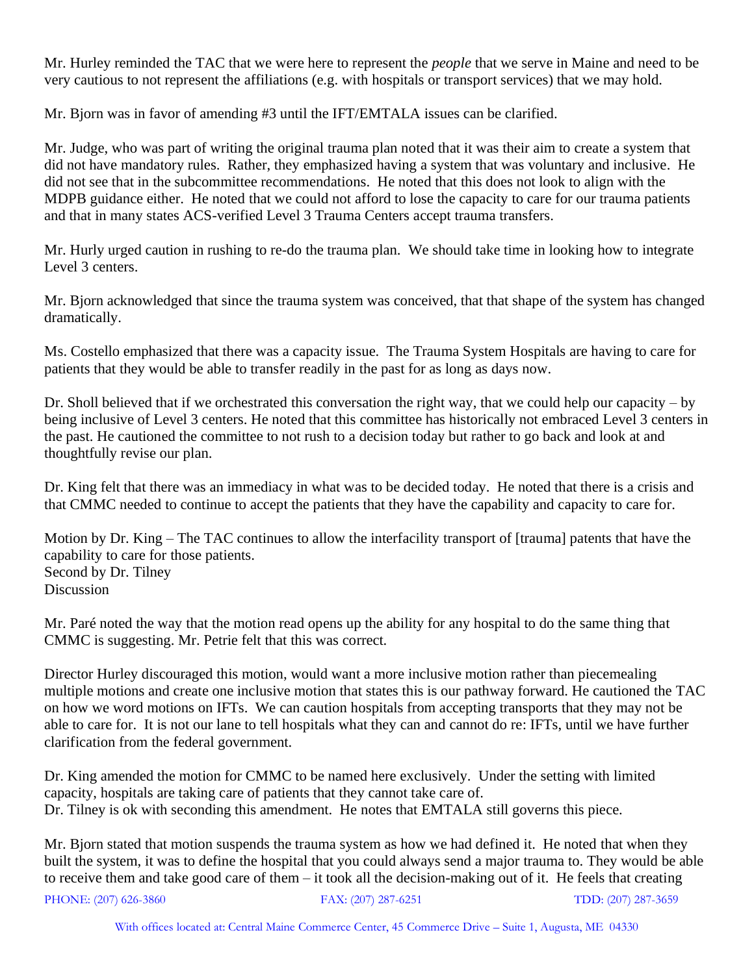Mr. Hurley reminded the TAC that we were here to represent the *people* that we serve in Maine and need to be very cautious to not represent the affiliations (e.g. with hospitals or transport services) that we may hold.

Mr. Bjorn was in favor of amending #3 until the IFT/EMTALA issues can be clarified.

Mr. Judge, who was part of writing the original trauma plan noted that it was their aim to create a system that did not have mandatory rules. Rather, they emphasized having a system that was voluntary and inclusive. He did not see that in the subcommittee recommendations. He noted that this does not look to align with the MDPB guidance either. He noted that we could not afford to lose the capacity to care for our trauma patients and that in many states ACS-verified Level 3 Trauma Centers accept trauma transfers.

Mr. Hurly urged caution in rushing to re-do the trauma plan. We should take time in looking how to integrate Level 3 centers.

Mr. Bjorn acknowledged that since the trauma system was conceived, that that shape of the system has changed dramatically.

Ms. Costello emphasized that there was a capacity issue. The Trauma System Hospitals are having to care for patients that they would be able to transfer readily in the past for as long as days now.

Dr. Sholl believed that if we orchestrated this conversation the right way, that we could help our capacity – by being inclusive of Level 3 centers. He noted that this committee has historically not embraced Level 3 centers in the past. He cautioned the committee to not rush to a decision today but rather to go back and look at and thoughtfully revise our plan.

Dr. King felt that there was an immediacy in what was to be decided today. He noted that there is a crisis and that CMMC needed to continue to accept the patients that they have the capability and capacity to care for.

Motion by Dr. King – The TAC continues to allow the interfacility transport of [trauma] patents that have the capability to care for those patients. Second by Dr. Tilney **Discussion** 

Mr. Paré noted the way that the motion read opens up the ability for any hospital to do the same thing that CMMC is suggesting. Mr. Petrie felt that this was correct.

Director Hurley discouraged this motion, would want a more inclusive motion rather than piecemealing multiple motions and create one inclusive motion that states this is our pathway forward. He cautioned the TAC on how we word motions on IFTs. We can caution hospitals from accepting transports that they may not be able to care for. It is not our lane to tell hospitals what they can and cannot do re: IFTs, until we have further clarification from the federal government.

Dr. King amended the motion for CMMC to be named here exclusively. Under the setting with limited capacity, hospitals are taking care of patients that they cannot take care of. Dr. Tilney is ok with seconding this amendment. He notes that EMTALA still governs this piece.

Mr. Bjorn stated that motion suspends the trauma system as how we had defined it. He noted that when they built the system, it was to define the hospital that you could always send a major trauma to. They would be able to receive them and take good care of them – it took all the decision-making out of it. He feels that creating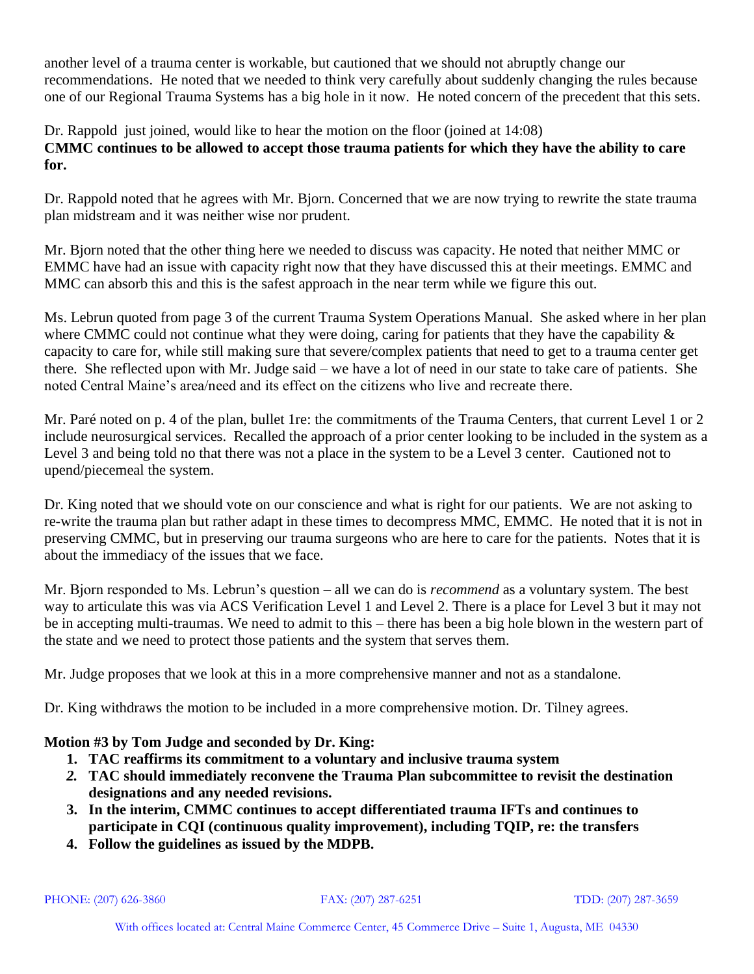another level of a trauma center is workable, but cautioned that we should not abruptly change our recommendations. He noted that we needed to think very carefully about suddenly changing the rules because one of our Regional Trauma Systems has a big hole in it now. He noted concern of the precedent that this sets.

Dr. Rappold just joined, would like to hear the motion on the floor (joined at 14:08) **CMMC continues to be allowed to accept those trauma patients for which they have the ability to care for.**

Dr. Rappold noted that he agrees with Mr. Bjorn. Concerned that we are now trying to rewrite the state trauma plan midstream and it was neither wise nor prudent.

Mr. Bjorn noted that the other thing here we needed to discuss was capacity. He noted that neither MMC or EMMC have had an issue with capacity right now that they have discussed this at their meetings. EMMC and MMC can absorb this and this is the safest approach in the near term while we figure this out.

Ms. Lebrun quoted from page 3 of the current Trauma System Operations Manual. She asked where in her plan where CMMC could not continue what they were doing, caring for patients that they have the capability  $\&$ capacity to care for, while still making sure that severe/complex patients that need to get to a trauma center get there. She reflected upon with Mr. Judge said – we have a lot of need in our state to take care of patients. She noted Central Maine's area/need and its effect on the citizens who live and recreate there.

Mr. Paré noted on p. 4 of the plan, bullet 1re: the commitments of the Trauma Centers, that current Level 1 or 2 include neurosurgical services. Recalled the approach of a prior center looking to be included in the system as a Level 3 and being told no that there was not a place in the system to be a Level 3 center. Cautioned not to upend/piecemeal the system.

Dr. King noted that we should vote on our conscience and what is right for our patients. We are not asking to re-write the trauma plan but rather adapt in these times to decompress MMC, EMMC. He noted that it is not in preserving CMMC, but in preserving our trauma surgeons who are here to care for the patients. Notes that it is about the immediacy of the issues that we face.

Mr. Bjorn responded to Ms. Lebrun's question – all we can do is *recommend* as a voluntary system. The best way to articulate this was via ACS Verification Level 1 and Level 2. There is a place for Level 3 but it may not be in accepting multi-traumas. We need to admit to this – there has been a big hole blown in the western part of the state and we need to protect those patients and the system that serves them.

Mr. Judge proposes that we look at this in a more comprehensive manner and not as a standalone.

Dr. King withdraws the motion to be included in a more comprehensive motion. Dr. Tilney agrees.

# **Motion #3 by Tom Judge and seconded by Dr. King:**

- **1. TAC reaffirms its commitment to a voluntary and inclusive trauma system**
- *2.* **TAC should immediately reconvene the Trauma Plan subcommittee to revisit the destination designations and any needed revisions.**
- **3. In the interim, CMMC continues to accept differentiated trauma IFTs and continues to participate in CQI (continuous quality improvement), including TQIP, re: the transfers**
- **4. Follow the guidelines as issued by the MDPB.**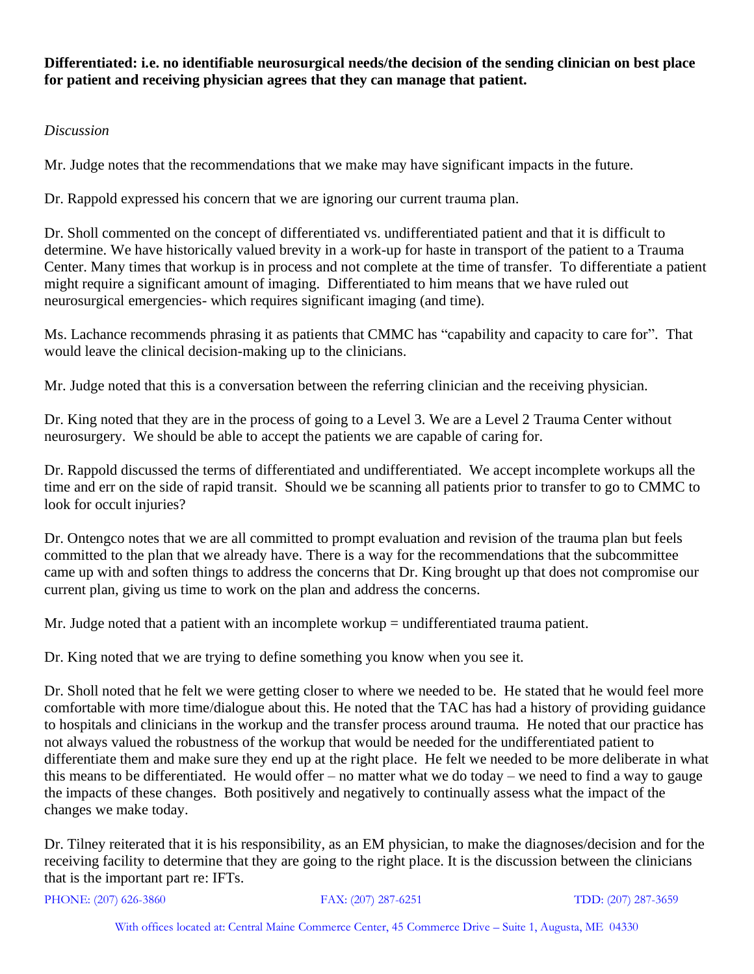**Differentiated: i.e. no identifiable neurosurgical needs/the decision of the sending clinician on best place for patient and receiving physician agrees that they can manage that patient.**

### *Discussion*

Mr. Judge notes that the recommendations that we make may have significant impacts in the future.

Dr. Rappold expressed his concern that we are ignoring our current trauma plan.

Dr. Sholl commented on the concept of differentiated vs. undifferentiated patient and that it is difficult to determine. We have historically valued brevity in a work-up for haste in transport of the patient to a Trauma Center. Many times that workup is in process and not complete at the time of transfer. To differentiate a patient might require a significant amount of imaging. Differentiated to him means that we have ruled out neurosurgical emergencies- which requires significant imaging (and time).

Ms. Lachance recommends phrasing it as patients that CMMC has "capability and capacity to care for". That would leave the clinical decision-making up to the clinicians.

Mr. Judge noted that this is a conversation between the referring clinician and the receiving physician.

Dr. King noted that they are in the process of going to a Level 3. We are a Level 2 Trauma Center without neurosurgery. We should be able to accept the patients we are capable of caring for.

Dr. Rappold discussed the terms of differentiated and undifferentiated. We accept incomplete workups all the time and err on the side of rapid transit. Should we be scanning all patients prior to transfer to go to CMMC to look for occult injuries?

Dr. Ontengco notes that we are all committed to prompt evaluation and revision of the trauma plan but feels committed to the plan that we already have. There is a way for the recommendations that the subcommittee came up with and soften things to address the concerns that Dr. King brought up that does not compromise our current plan, giving us time to work on the plan and address the concerns.

Mr. Judge noted that a patient with an incomplete workup = undifferentiated trauma patient.

Dr. King noted that we are trying to define something you know when you see it.

Dr. Sholl noted that he felt we were getting closer to where we needed to be. He stated that he would feel more comfortable with more time/dialogue about this. He noted that the TAC has had a history of providing guidance to hospitals and clinicians in the workup and the transfer process around trauma. He noted that our practice has not always valued the robustness of the workup that would be needed for the undifferentiated patient to differentiate them and make sure they end up at the right place. He felt we needed to be more deliberate in what this means to be differentiated. He would offer – no matter what we do today – we need to find a way to gauge the impacts of these changes. Both positively and negatively to continually assess what the impact of the changes we make today.

Dr. Tilney reiterated that it is his responsibility, as an EM physician, to make the diagnoses/decision and for the receiving facility to determine that they are going to the right place. It is the discussion between the clinicians that is the important part re: IFTs.

PHONE: (207) 626-3860 FAX: (207) 287-6251 TDD: (207) 287-3659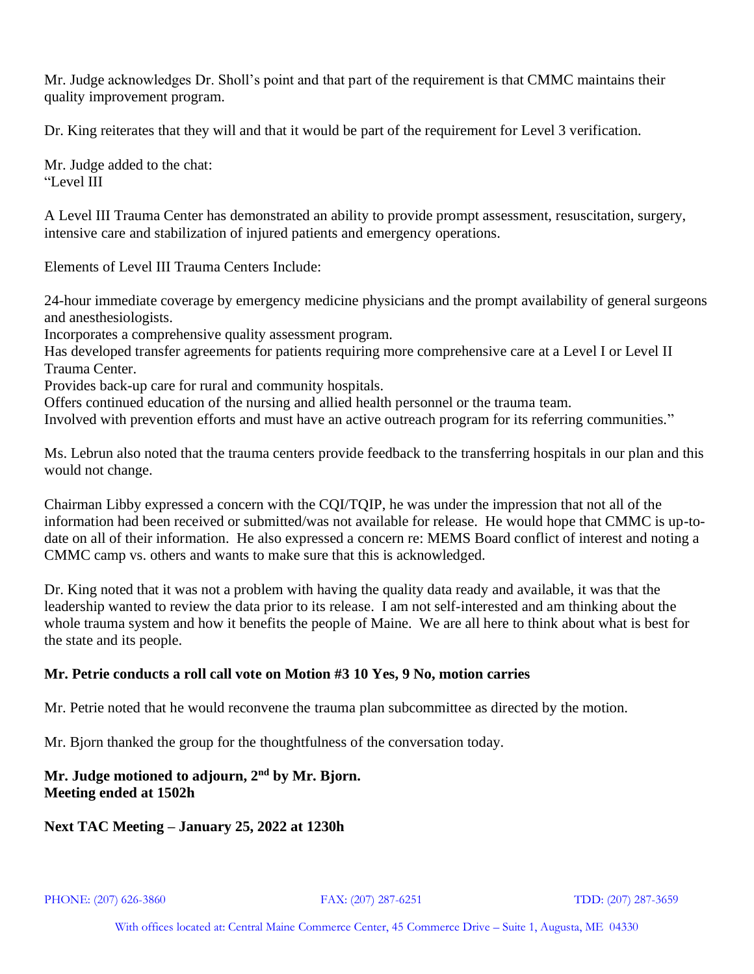Mr. Judge acknowledges Dr. Sholl's point and that part of the requirement is that CMMC maintains their quality improvement program.

Dr. King reiterates that they will and that it would be part of the requirement for Level 3 verification.

Mr. Judge added to the chat: "Level III

A Level III Trauma Center has demonstrated an ability to provide prompt assessment, resuscitation, surgery, intensive care and stabilization of injured patients and emergency operations.

Elements of Level III Trauma Centers Include:

24-hour immediate coverage by emergency medicine physicians and the prompt availability of general surgeons and anesthesiologists.

Incorporates a comprehensive quality assessment program.

Has developed transfer agreements for patients requiring more comprehensive care at a Level I or Level II Trauma Center.

Provides back-up care for rural and community hospitals.

Offers continued education of the nursing and allied health personnel or the trauma team.

Involved with prevention efforts and must have an active outreach program for its referring communities."

Ms. Lebrun also noted that the trauma centers provide feedback to the transferring hospitals in our plan and this would not change.

Chairman Libby expressed a concern with the CQI/TQIP, he was under the impression that not all of the information had been received or submitted/was not available for release. He would hope that CMMC is up-todate on all of their information. He also expressed a concern re: MEMS Board conflict of interest and noting a CMMC camp vs. others and wants to make sure that this is acknowledged.

Dr. King noted that it was not a problem with having the quality data ready and available, it was that the leadership wanted to review the data prior to its release. I am not self-interested and am thinking about the whole trauma system and how it benefits the people of Maine. We are all here to think about what is best for the state and its people.

### **Mr. Petrie conducts a roll call vote on Motion #3 10 Yes, 9 No, motion carries**

Mr. Petrie noted that he would reconvene the trauma plan subcommittee as directed by the motion.

Mr. Bjorn thanked the group for the thoughtfulness of the conversation today.

### **Mr. Judge motioned to adjourn, 2nd by Mr. Bjorn. Meeting ended at 1502h**

### **Next TAC Meeting – January 25, 2022 at 1230h**

PHONE: (207) 626-3860 FAX: (207) 287-6251 TDD: (207) 287-3659